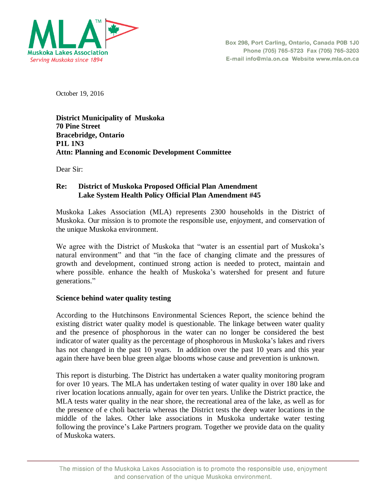

October 19, 2016

**District Municipality of Muskoka 70 Pine Street Bracebridge, Ontario P1L 1N3 Attn: Planning and Economic Development Committee** 

Dear Sir:

### **Re: District of Muskoka Proposed Official Plan Amendment Lake System Health Policy Official Plan Amendment #45**

Muskoka Lakes Association (MLA) represents 2300 households in the District of Muskoka. Our mission is to promote the responsible use, enjoyment, and conservation of the unique Muskoka environment.

We agree with the District of Muskoka that "water is an essential part of Muskoka's natural environment" and that "in the face of changing climate and the pressures of growth and development, continued strong action is needed to protect, maintain and where possible. enhance the health of Muskoka's watershed for present and future generations."

#### **Science behind water quality testing**

According to the Hutchinsons Environmental Sciences Report, the science behind the existing district water quality model is questionable. The linkage between water quality and the presence of phosphorous in the water can no longer be considered the best indicator of water quality as the percentage of phosphorous in Muskoka's lakes and rivers has not changed in the past 10 years. In addition over the past 10 years and this year again there have been blue green algae blooms whose cause and prevention is unknown.

This report is disturbing. The District has undertaken a water quality monitoring program for over 10 years. The MLA has undertaken testing of water quality in over 180 lake and river location locations annually, again for over ten years. Unlike the District practice, the MLA tests water quality in the near shore, the recreational area of the lake, as well as for the presence of e choli bacteria whereas the District tests the deep water locations in the middle of the lakes. Other lake associations in Muskoka undertake water testing following the province's Lake Partners program. Together we provide data on the quality of Muskoka waters.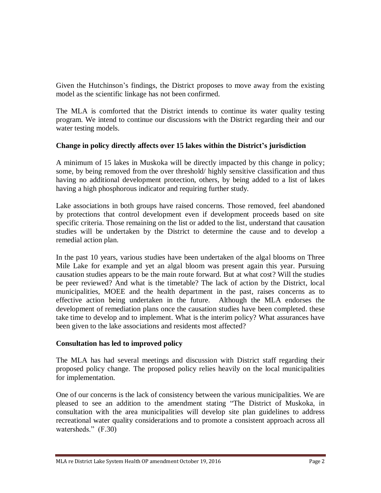Given the Hutchinson's findings, the District proposes to move away from the existing model as the scientific linkage has not been confirmed.

The MLA is comforted that the District intends to continue its water quality testing program. We intend to continue our discussions with the District regarding their and our water testing models.

# **Change in policy directly affects over 15 lakes within the District's jurisdiction**

A minimum of 15 lakes in Muskoka will be directly impacted by this change in policy; some, by being removed from the over threshold/ highly sensitive classification and thus having no additional development protection, others, by being added to a list of lakes having a high phosphorous indicator and requiring further study.

Lake associations in both groups have raised concerns. Those removed, feel abandoned by protections that control development even if development proceeds based on site specific criteria. Those remaining on the list or added to the list, understand that causation studies will be undertaken by the District to determine the cause and to develop a remedial action plan.

In the past 10 years, various studies have been undertaken of the algal blooms on Three Mile Lake for example and yet an algal bloom was present again this year. Pursuing causation studies appears to be the main route forward. But at what cost? Will the studies be peer reviewed? And what is the timetable? The lack of action by the District, local municipalities, MOEE and the health department in the past, raises concerns as to effective action being undertaken in the future. Although the MLA endorses the development of remediation plans once the causation studies have been completed. these take time to develop and to implement. What is the interim policy? What assurances have been given to the lake associations and residents most affected?

#### **Consultation has led to improved policy**

The MLA has had several meetings and discussion with District staff regarding their proposed policy change. The proposed policy relies heavily on the local municipalities for implementation.

One of our concerns is the lack of consistency between the various municipalities. We are pleased to see an addition to the amendment stating "The District of Muskoka, in consultation with the area municipalities will develop site plan guidelines to address recreational water quality considerations and to promote a consistent approach across all watersheds." (F.30)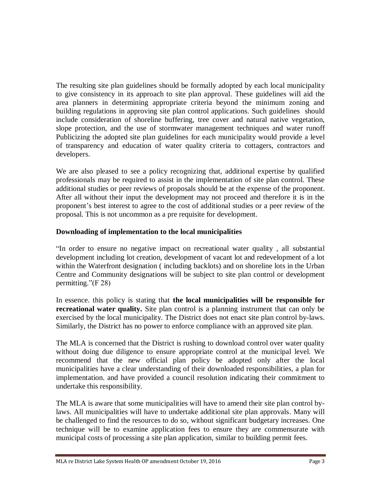The resulting site plan guidelines should be formally adopted by each local municipality to give consistency in its approach to site plan approval. These guidelines will aid the area planners in determining appropriate criteria beyond the minimum zoning and building regulations in approving site plan control applications. Such guidelines should include consideration of shoreline buffering, tree cover and natural native vegetation, slope protection, and the use of stormwater management techniques and water runoff Publicizing the adopted site plan guidelines for each municipality would provide a level of transparency and education of water quality criteria to cottagers, contractors and developers.

We are also pleased to see a policy recognizing that, additional expertise by qualified professionals may be required to assist in the implementation of site plan control. These additional studies or peer reviews of proposals should be at the expense of the proponent. After all without their input the development may not proceed and therefore it is in the proponent's best interest to agree to the cost of additional studies or a peer review of the proposal. This is not uncommon as a pre requisite for development.

# **Downloading of implementation to the local municipalities**

"In order to ensure no negative impact on recreational water quality , all substantial development including lot creation, development of vacant lot and redevelopment of a lot within the Waterfront designation ( including backlots) and on shoreline lots in the Urban Centre and Community designations will be subject to site plan control or development permitting."(F 28)

In essence. this policy is stating that **the local municipalities will be responsible for recreational water quality.** Site plan control is a planning instrument that can only be exercised by the local municipality. The District does not enact site plan control by-laws. Similarly, the District has no power to enforce compliance with an approved site plan.

The MLA is concerned that the District is rushing to download control over water quality without doing due diligence to ensure appropriate control at the municipal level. We recommend that the new official plan policy be adopted only after the local municipalities have a clear understanding of their downloaded responsibilities, a plan for implementation. and have provided a council resolution indicating their commitment to undertake this responsibility.

The MLA is aware that some municipalities will have to amend their site plan control bylaws. All municipalities will have to undertake additional site plan approvals. Many will be challenged to find the resources to do so, without significant budgetary increases. One technique will be to examine application fees to ensure they are commensurate with municipal costs of processing a site plan application, similar to building permit fees.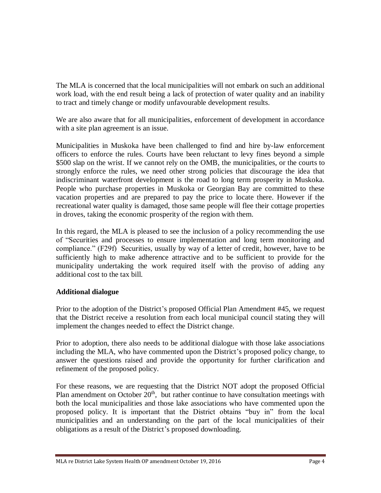The MLA is concerned that the local municipalities will not embark on such an additional work load, with the end result being a lack of protection of water quality and an inability to tract and timely change or modify unfavourable development results.

We are also aware that for all municipalities, enforcement of development in accordance with a site plan agreement is an issue.

Municipalities in Muskoka have been challenged to find and hire by-law enforcement officers to enforce the rules. Courts have been reluctant to levy fines beyond a simple \$500 slap on the wrist. If we cannot rely on the OMB, the municipalities, or the courts to strongly enforce the rules, we need other strong policies that discourage the idea that indiscriminant waterfront development is the road to long term prosperity in Muskoka. People who purchase properties in Muskoka or Georgian Bay are committed to these vacation properties and are prepared to pay the price to locate there. However if the recreational water quality is damaged, those same people will flee their cottage properties in droves, taking the economic prosperity of the region with them.

In this regard, the MLA is pleased to see the inclusion of a policy recommending the use of "Securities and processes to ensure implementation and long term monitoring and compliance." (F29f) Securities, usually by way of a letter of credit, however, have to be sufficiently high to make adherence attractive and to be sufficient to provide for the municipality undertaking the work required itself with the proviso of adding any additional cost to the tax bill.

# **Additional dialogue**

Prior to the adoption of the District's proposed Official Plan Amendment #45, we request that the District receive a resolution from each local municipal council stating they will implement the changes needed to effect the District change.

Prior to adoption, there also needs to be additional dialogue with those lake associations including the MLA, who have commented upon the District's proposed policy change, to answer the questions raised and provide the opportunity for further clarification and refinement of the proposed policy.

For these reasons, we are requesting that the District NOT adopt the proposed Official Plan amendment on October  $20<sup>th</sup>$ , but rather continue to have consultation meetings with both the local municipalities and those lake associations who have commented upon the proposed policy. It is important that the District obtains "buy in" from the local municipalities and an understanding on the part of the local municipalities of their obligations as a result of the District's proposed downloading.